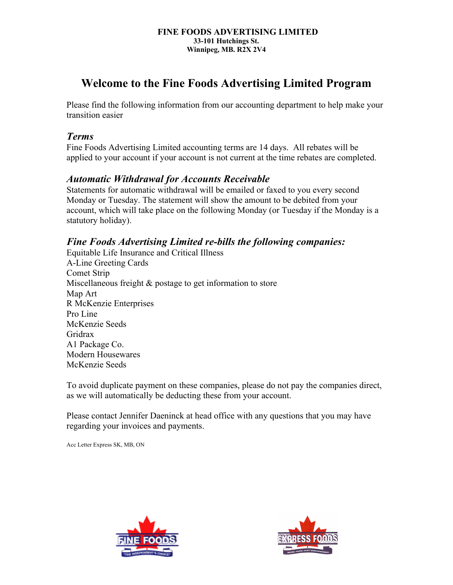#### **FINE FOODS ADVERTISING LIMITED 33-101 Hutchings St. Winnipeg, MB. R2X 2V4**

# **Welcome to the Fine Foods Advertising Limited Program**

Please find the following information from our accounting department to help make your transition easier

### *Terms*

Fine Foods Advertising Limited accounting terms are 14 days. All rebates will be applied to your account if your account is not current at the time rebates are completed.

# *Automatic Withdrawal for Accounts Receivable*

Statements for automatic withdrawal will be emailed or faxed to you every second Monday or Tuesday. The statement will show the amount to be debited from your account, which will take place on the following Monday (or Tuesday if the Monday is a statutory holiday).

# *Fine Foods Advertising Limited re-bills the following companies:*

Equitable Life Insurance and Critical Illness A-Line Greeting Cards Comet Strip Miscellaneous freight & postage to get information to store Map Art R McKenzie Enterprises Pro Line McKenzie Seeds Gridrax A1 Package Co. Modern Housewares McKenzie Seeds

To avoid duplicate payment on these companies, please do not pay the companies direct, as we will automatically be deducting these from your account.

Please contact Jennifer Daeninck at head office with any questions that you may have regarding your invoices and payments.

Acc Letter Express SK, MB, ON



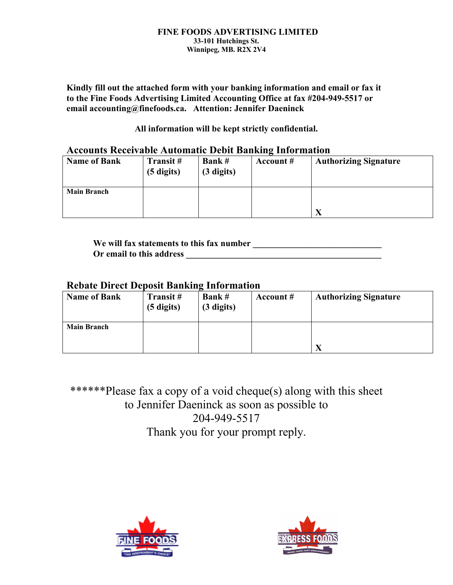#### **FINE FOODS ADVERTISING LIMITED 33-101 Hutchings St. Winnipeg, MB. R2X 2V4**

**Kindly fill out the attached form with your banking information and email or fax it to the Fine Foods Advertising Limited Accounting Office at fax #204-949-5517 or email accounting@finefoods.ca. Attention: Jennifer Daeninck**

**All information will be kept strictly confidential.**

### **Accounts Receivable Automatic Debit Banking Information**

| <b>Name of Bank</b> | Transit#<br>$(5 \text{ digits})$ | <b>Bank#</b><br>$(3 \text{ digits})$ | Account $#$ | <b>Authorizing Signature</b> |
|---------------------|----------------------------------|--------------------------------------|-------------|------------------------------|
| <b>Main Branch</b>  |                                  |                                      |             |                              |

**We will fax statements to this fax number \_\_\_\_\_\_\_\_\_\_\_\_\_\_\_\_\_\_\_\_\_\_\_\_\_\_\_\_\_ Or email to this address \_\_\_\_\_\_\_\_\_\_\_\_\_\_\_\_\_\_\_\_\_\_\_\_\_\_\_\_\_\_\_\_\_\_\_\_\_\_\_\_\_\_\_\_**

### **Rebate Direct Deposit Banking Information**

| <b>Name of Bank</b> | Transit #<br>$(5 \text{ digits})$ | <b>Bank#</b><br>$(3 \text{ digits})$ | Account # | <b>Authorizing Signature</b> |
|---------------------|-----------------------------------|--------------------------------------|-----------|------------------------------|
| <b>Main Branch</b>  |                                   |                                      |           | $\mathbf{v}$                 |

\*\*\*\*\*\*Please fax a copy of a void cheque(s) along with this sheet to Jennifer Daeninck as soon as possible to 204-949-5517 Thank you for your prompt reply.